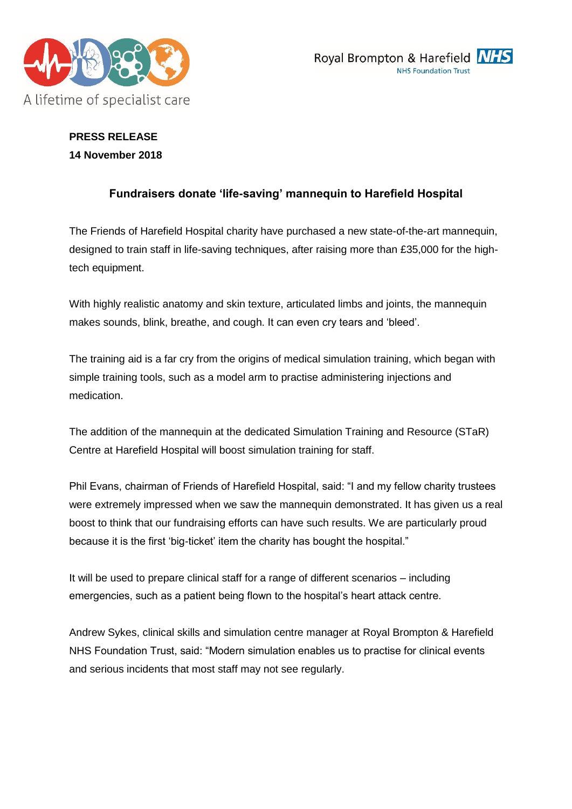



# **PRESS RELEASE 14 November 2018**

## **Fundraisers donate 'life-saving' mannequin to Harefield Hospital**

The Friends of Harefield Hospital charity have purchased a new state-of-the-art mannequin, designed to train staff in life-saving techniques, after raising more than £35,000 for the hightech equipment.

With highly realistic anatomy and skin texture, articulated limbs and joints, the mannequin makes sounds, blink, breathe, and cough. It can even cry tears and 'bleed'.

The training aid is a far cry from the origins of medical simulation training, which began with simple training tools, such as a model arm to practise administering injections and medication.

The addition of the mannequin at the dedicated Simulation Training and Resource (STaR) Centre at Harefield Hospital will boost simulation training for staff.

Phil Evans, chairman of Friends of Harefield Hospital, said: "I and my fellow charity trustees were extremely impressed when we saw the mannequin demonstrated. It has given us a real boost to think that our fundraising efforts can have such results. We are particularly proud because it is the first 'big-ticket' item the charity has bought the hospital."

It will be used to prepare clinical staff for a range of different scenarios – including emergencies, such as a patient being flown to the hospital's heart attack centre.

Andrew Sykes, clinical skills and simulation centre manager at Royal Brompton & Harefield NHS Foundation Trust, said: "Modern simulation enables us to practise for clinical events and serious incidents that most staff may not see regularly.